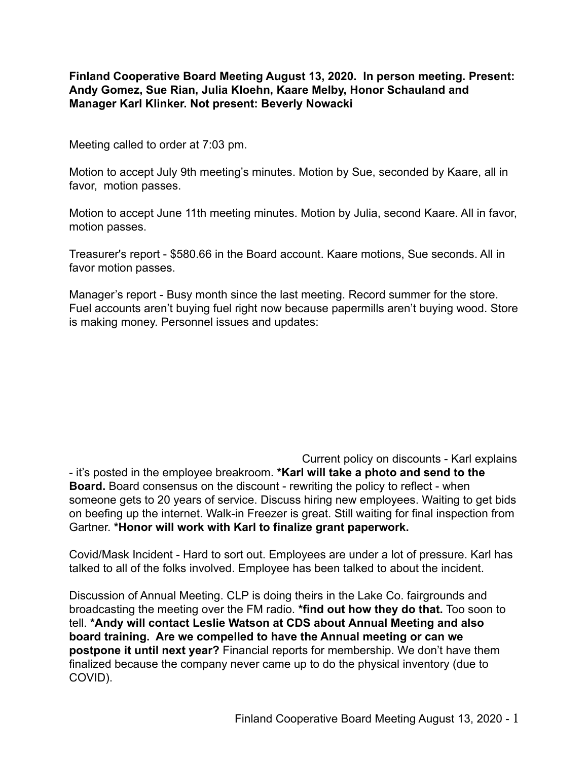**Finland Cooperative Board Meeting August 13, 2020. In person meeting. Present: Andy Gomez, Sue Rian, Julia Kloehn, Kaare Melby, Honor Schauland and Manager Karl Klinker. Not present: Beverly Nowacki**

Meeting called to order at 7:03 pm.

Motion to accept July 9th meeting's minutes. Motion by Sue, seconded by Kaare, all in favor, motion passes.

Motion to accept June 11th meeting minutes. Motion by Julia, second Kaare. All in favor, motion passes.

Treasurer's report - \$580.66 in the Board account. Kaare motions, Sue seconds. All in favor motion passes.

Manager's report - Busy month since the last meeting. Record summer for the store. Fuel accounts aren't buying fuel right now because papermills aren't buying wood. Store is making money. Personnel issues and updates:

Current policy on discounts - Karl explains - it's posted in the employee breakroom. **\*Karl will take a photo and send to the Board.** Board consensus on the discount - rewriting the policy to reflect - when someone gets to 20 years of service. Discuss hiring new employees. Waiting to get bids on beefing up the internet. Walk-in Freezer is great. Still waiting for final inspection from Gartner. **\*Honor will work with Karl to finalize grant paperwork.**

Covid/Mask Incident - Hard to sort out. Employees are under a lot of pressure. Karl has talked to all of the folks involved. Employee has been talked to about the incident.

Discussion of Annual Meeting. CLP is doing theirs in the Lake Co. fairgrounds and broadcasting the meeting over the FM radio. **\*find out how they do that.** Too soon to tell. **\*Andy will contact Leslie Watson at CDS about Annual Meeting and also board training. Are we compelled to have the Annual meeting or can we postpone it until next year?** Financial reports for membership. We don't have them finalized because the company never came up to do the physical inventory (due to COVID).